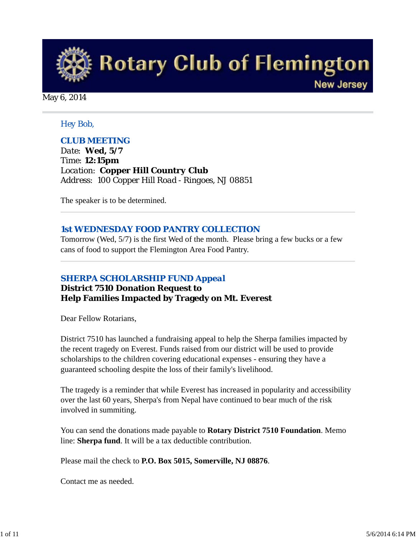

May 6, 2014

#### *Hey Bob,*

#### *CLUB MEETING*

*Date: Wed, 5/7 Time: 12:15pm Location: Copper Hill Country Club Address: 100 Copper Hill Road - Ringoes, NJ 08851* 

The speaker is to be determined.

#### *1st WEDNESDAY FOOD PANTRY COLLECTION*

Tomorrow (Wed, 5/7) is the first Wed of the month. Please bring a few bucks or a few cans of food to support the Flemington Area Food Pantry.

## *SHERPA SCHOLARSHIP FUND Appeal*

## **District 7510 Donation Request to Help Families Impacted by Tragedy on Mt. Everest**

Dear Fellow Rotarians,

District 7510 has launched a fundraising appeal to help the Sherpa families impacted by the recent tragedy on Everest. Funds raised from our district will be used to provide scholarships to the children covering educational expenses - ensuring they have a guaranteed schooling despite the loss of their family's livelihood.

The tragedy is a reminder that while Everest has increased in popularity and accessibility over the last 60 years, Sherpa's from Nepal have continued to bear much of the risk involved in summiting.

You can send the donations made payable to **Rotary District 7510 Foundation**. Memo line: **Sherpa fund**. It will be a tax deductible contribution.

Please mail the check to **P.O. Box 5015, Somerville, NJ 08876**.

Contact me as needed.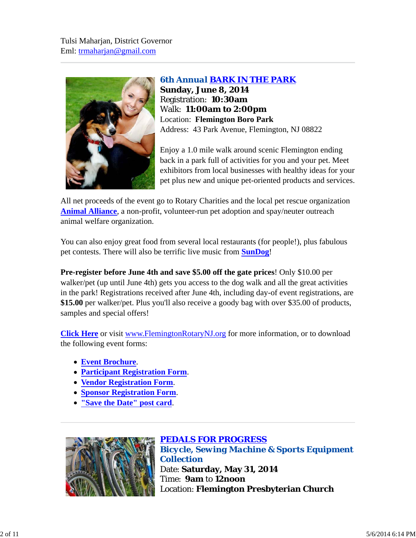

*6th Annual BARK IN THE PARK* **Sunday, June 8, 2014** Registration: **10:30am** Walk: **11:00am to 2:00pm** Location: **Flemington Boro Park** Address: 43 Park Avenue, Flemington, NJ 08822

Enjoy a 1.0 mile walk around scenic Flemington ending back in a park full of activities for you and your pet. Meet exhibitors from local businesses with healthy ideas for your pet plus new and unique pet-oriented products and services.

All net proceeds of the event go to Rotary Charities and the local pet rescue organization **Animal Alliance**, a non-profit, volunteer-run pet adoption and spay/neuter outreach animal welfare organization.

You can also enjoy great food from several local restaurants (for people!), plus fabulous pet contests. There will also be terrific live music from **SunDog**!

**Pre-register before June 4th and save \$5.00 off the gate prices**! Only \$10.00 per walker/pet (up until June 4th) gets you access to the dog walk and all the great activities in the park! Registrations received after June 4th, including day-of event registrations, are **\$15.00** per walker/pet. Plus you'll also receive a goody bag with over \$35.00 of products, samples and special offers!

**Click Here** or visit www.FlemingtonRotaryNJ.org for more information, or to download the following event forms:

- **Event Brochure**.
- **Participant Registration Form**.
- **Vendor Registration Form**.
- **Sponsor Registration Form**.
- **"Save the Date" post card**.



# *PEDALS FOR PROGRESS Bicycle, Sewing Machine & Sports Equipment Collection* Date: **Saturday, May 31, 2014** Time: **9am** to **12noon** Location: **Flemington Presbyterian Church**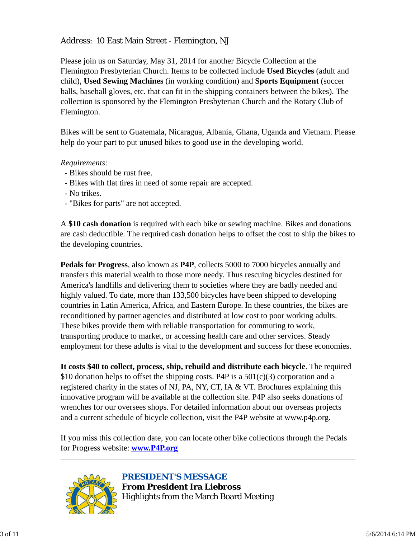## Address: 10 East Main Street - Flemington, NJ

Please join us on Saturday, May 31, 2014 for another Bicycle Collection at the Flemington Presbyterian Church. Items to be collected include **Used Bicycles** (adult and child), **Used Sewing Machines** (in working condition) and **Sports Equipment** (soccer balls, baseball gloves, etc. that can fit in the shipping containers between the bikes). The collection is sponsored by the Flemington Presbyterian Church and the Rotary Club of Flemington.

Bikes will be sent to Guatemala, Nicaragua, Albania, Ghana, Uganda and Vietnam. Please help do your part to put unused bikes to good use in the developing world.

#### *Requirements*:

- Bikes should be rust free.
- Bikes with flat tires in need of some repair are accepted.
- No trikes.
- "Bikes for parts" are not accepted.

A **\$10 cash donation** is required with each bike or sewing machine. Bikes and donations are cash deductible. The required cash donation helps to offset the cost to ship the bikes to the developing countries.

**Pedals for Progress**, also known as **P4P**, collects 5000 to 7000 bicycles annually and transfers this material wealth to those more needy. Thus rescuing bicycles destined for America's landfills and delivering them to societies where they are badly needed and highly valued. To date, more than 133,500 bicycles have been shipped to developing countries in Latin America, Africa, and Eastern Europe. In these countries, the bikes are reconditioned by partner agencies and distributed at low cost to poor working adults. These bikes provide them with reliable transportation for commuting to work, transporting produce to market, or accessing health care and other services. Steady employment for these adults is vital to the development and success for these economies.

**It costs \$40 to collect, process, ship, rebuild and distribute each bicycle**. The required \$10 donation helps to offset the shipping costs. P4P is a  $501(c)(3)$  corporation and a registered charity in the states of NJ, PA, NY, CT, IA & VT. Brochures explaining this innovative program will be available at the collection site. P4P also seeks donations of wrenches for our oversees shops. For detailed information about our overseas projects and a current schedule of bicycle collection, visit the P4P website at www.p4p.org.

If you miss this collection date, you can locate other bike collections through the Pedals for Progress website: **www.P4P.org**



*PRESIDENT'S MESSAGE* **From President Ira Liebross** Highlights from the March Board Meeting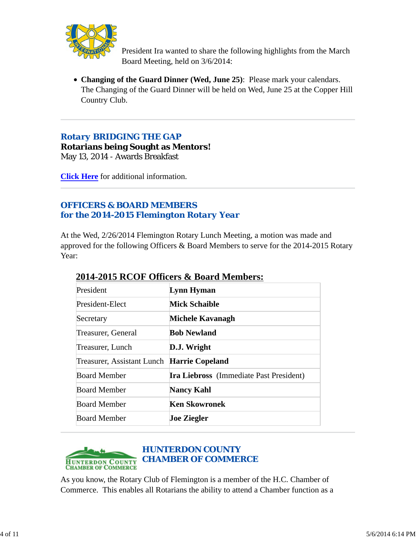

President Ira wanted to share the following highlights from the March Board Meeting, held on 3/6/2014:

**Changing of the Guard Dinner (Wed, June 25)**: Please mark your calendars. The Changing of the Guard Dinner will be held on Wed, June 25 at the Copper Hill Country Club.

## *Rotary BRIDGING THE GAP*

**Rotarians being Sought as Mentors!** May 13, 2014 - Awards Breakfast

**Click Here** for additional information.

# *OFFICERS & BOARD MEMBERS for the 2014-2015 Flemington Rotary Year*

At the Wed, 2/26/2014 Flemington Rotary Lunch Meeting, a motion was made and approved for the following Officers & Board Members to serve for the 2014-2015 Rotary Year:

| President                                         | Lynn Hyman                                     |
|---------------------------------------------------|------------------------------------------------|
| President-Elect                                   | <b>Mick Schaible</b>                           |
| Secretary                                         | Michele Kavanagh                               |
| Treasurer, General                                | <b>Bob Newland</b>                             |
| Treasurer, Lunch                                  | D.J. Wright                                    |
| Treasurer, Assistant Lunch <b>Harrie Copeland</b> |                                                |
| <b>Board Member</b>                               | <b>Ira Liebross</b> (Immediate Past President) |
| <b>Board Member</b>                               | <b>Nancy Kahl</b>                              |
| <b>Board Member</b>                               | <b>Ken Skowronek</b>                           |
| <b>Board Member</b>                               | <b>Joe Ziegler</b>                             |

## **2014-2015 RCOF Officers & Board Members:**



# *HUNTERDON COUNTY CHAMBER OF COMMERCE*

As you know, the Rotary Club of Flemington is a member of the H.C. Chamber of Commerce. This enables all Rotarians the ability to attend a Chamber function as a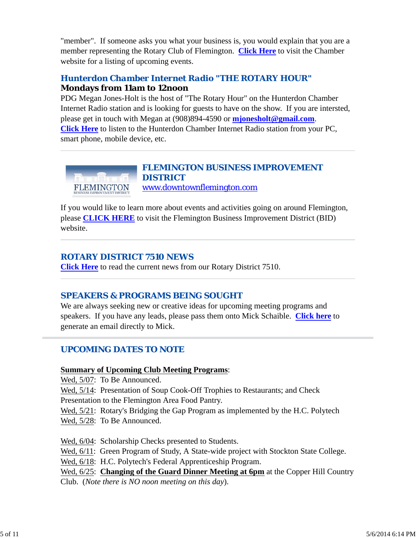"member". If someone asks you what your business is, you would explain that you are a member representing the Rotary Club of Flemington. **Click Here** to visit the Chamber website for a listing of upcoming events.

# *Hunterdon Chamber Internet Radio "THE ROTARY HOUR"* **Mondays from 11am to 12noon**

PDG Megan Jones-Holt is the host of "The Rotary Hour" on the Hunterdon Chamber Internet Radio station and is looking for guests to have on the show. If you are intersted, please get in touch with Megan at (908)894-4590 or **mjonesholt@gmail.com**. **Click Here** to listen to the Hunterdon Chamber Internet Radio station from your PC, smart phone, mobile device, etc.



If you would like to learn more about events and activities going on around Flemington, please **CLICK HERE** to visit the Flemington Business Improvement District (BID) website.

## *ROTARY DISTRICT 7510 NEWS*

**Click Here** to read the current news from our Rotary District 7510.

## *SPEAKERS & PROGRAMS BEING SOUGHT*

We are always seeking new or creative ideas for upcoming meeting programs and speakers. If you have any leads, please pass them onto Mick Schaible. **Click here** to generate an email directly to Mick.

## *UPCOMING DATES TO NOTE*

#### **Summary of Upcoming Club Meeting Programs**:

Wed, 5/07: To Be Announced.

Wed, 5/14: Presentation of Soup Cook-Off Trophies to Restaurants; and Check Presentation to the Flemington Area Food Pantry.

Wed, 5/21: Rotary's Bridging the Gap Program as implemented by the H.C. Polytech Wed, 5/28: To Be Announced.

Wed, 6/04: Scholarship Checks presented to Students.

Wed, 6/11: Green Program of Study, A State-wide project with Stockton State College.

Wed, 6/18: H.C. Polytech's Federal Apprenticeship Program.

Wed, 6/25: **Changing of the Guard Dinner Meeting at 6pm** at the Copper Hill Country

Club. (*Note there is NO noon meeting on this day*).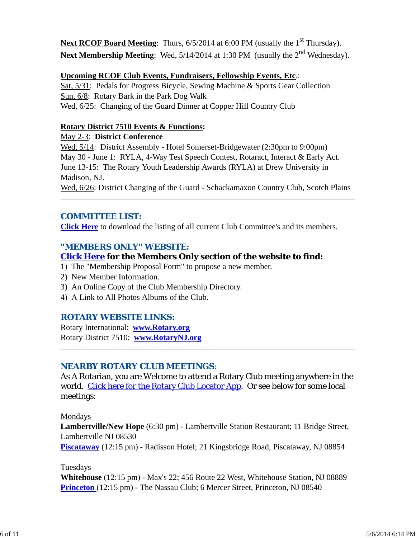**Next RCOF Board Meeting**: Thurs, 6/5/2014 at 6:00 PM (usually the 1<sup>st</sup> Thursday). Next Membership Meeting: Wed, 5/14/2014 at 1:30 PM (usually the 2<sup>nd</sup> Wednesday).

#### **Upcoming RCOF Club Events, Fundraisers, Fellowship Events, Etc**.:

Sat, 5/31: Pedals for Progress Bicycle, Sewing Machine & Sports Gear Collection Sun, 6/8: Rotary Bark in the Park Dog Walk Wed, 6/25: Changing of the Guard Dinner at Copper Hill Country Club

#### **Rotary District 7510 Events & Functions:**

#### May 2-3: **District Conference**

Wed, 5/14: District Assembly - Hotel Somerset-Bridgewater (2:30pm to 9:00pm) May 30 - June 1: RYLA, 4-Way Test Speech Contest, Rotaract, Interact & Early Act. June 13-15: The Rotary Youth Leadership Awards (RYLA) at Drew University in Madison, NJ.

Wed, 6/26: District Changing of the Guard - Schackamaxon Country Club, Scotch Plains

## *COMMITTEE LIST:*

**Click Here** to download the listing of all current Club Committee's and its members.

## *"MEMBERS ONLY" WEBSITE:*

## **Click Here for the Members Only section of the website to find:**

- 1) The "Membership Proposal Form" to propose a new member.
- 2) New Member Information.
- 3) An Online Copy of the Club Membership Directory.
- 4) A Link to All Photos Albums of the Club.

## *ROTARY WEBSITE LINKS:*

Rotary International: **www.Rotary.org** Rotary District 7510: **www.RotaryNJ.org**

## *NEARBY ROTARY CLUB MEETINGS:*

As A Rotarian, you are Welcome to attend a Rotary Club meeting anywhere in the world. Click here for the Rotary Club Locator App. Or see below for some local meetings:

Mondays

**Lambertville/New Hope** (6:30 pm) - Lambertville Station Restaurant; 11 Bridge Street, Lambertville NJ 08530

**Piscataway** (12:15 pm) - Radisson Hotel; 21 Kingsbridge Road, Piscataway, NJ 08854

Tuesdays

**Whitehouse** (12:15 pm) - Max's 22; 456 Route 22 West, Whitehouse Station, NJ 08889 **Princeton** (12:15 pm) - The Nassau Club; 6 Mercer Street, Princeton, NJ 08540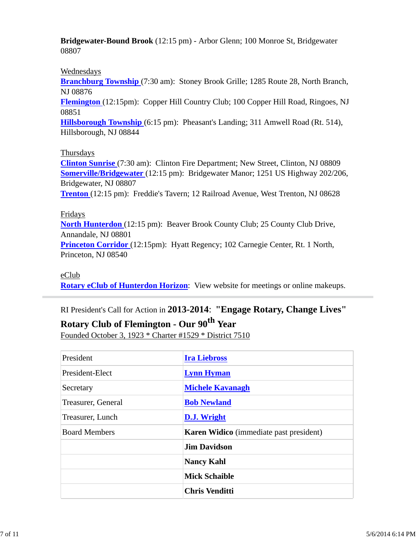**Bridgewater-Bound Brook** (12:15 pm) - Arbor Glenn; 100 Monroe St, Bridgewater 08807

#### Wednesdays

**Branchburg Township** (7:30 am): Stoney Brook Grille; 1285 Route 28, North Branch, NJ 08876

**Flemington** (12:15pm): Copper Hill Country Club; 100 Copper Hill Road, Ringoes, NJ 08851

**Hillsborough Township** (6:15 pm): Pheasant's Landing; 311 Amwell Road (Rt. 514), Hillsborough, NJ 08844

## Thursdays

**Clinton Sunrise** (7:30 am): Clinton Fire Department; New Street, Clinton, NJ 08809 **Somerville/Bridgewater** (12:15 pm): Bridgewater Manor; 1251 US Highway 202/206, Bridgewater, NJ 08807 **Trenton** (12:15 pm): Freddie's Tavern; 12 Railroad Avenue, West Trenton, NJ 08628

#### Fridays

**North Hunterdon** (12:15 pm): Beaver Brook County Club; 25 County Club Drive, Annandale, NJ 08801 **Princeton Corridor** (12:15pm): Hyatt Regency; 102 Carnegie Center, Rt. 1 North,

Princeton, NJ 08540

#### eClub

**Rotary eClub of Hunterdon Horizon**: View website for meetings or online makeups.

# RI President's Call for Action in **2013-2014**: **"Engage Rotary, Change Lives"**

# **Rotary Club of Flemington - Our 90th Year**

Founded October 3, 1923 \* Charter #1529 \* District 7510

| President            | <b>Ira Liebross</b>                            |  |  |
|----------------------|------------------------------------------------|--|--|
| President-Elect      | <b>Lynn Hyman</b>                              |  |  |
| Secretary            | <b>Michele Kavanagh</b>                        |  |  |
| Treasurer, General   | <b>Bob Newland</b>                             |  |  |
| Treasurer, Lunch     | D.J. Wright                                    |  |  |
| <b>Board Members</b> | <b>Karen Widico</b> (immediate past president) |  |  |
|                      | <b>Jim Davidson</b>                            |  |  |
|                      | <b>Nancy Kahl</b>                              |  |  |
|                      | <b>Mick Schaible</b>                           |  |  |
|                      | <b>Chris Venditti</b>                          |  |  |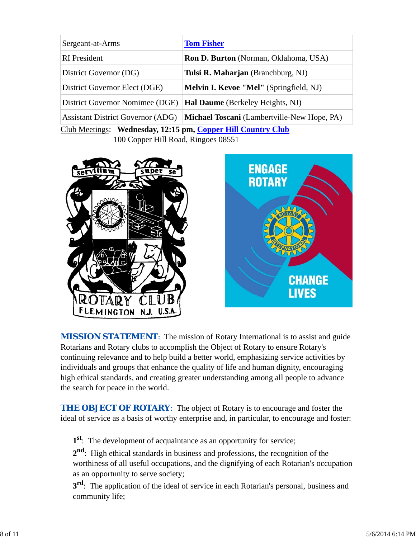| Sergeant-at-Arms                                             | <b>Tom Fisher</b>                            |  |  |  |
|--------------------------------------------------------------|----------------------------------------------|--|--|--|
| <b>RI</b> President                                          | <b>Ron D. Burton</b> (Norman, Oklahoma, USA) |  |  |  |
| District Governor (DG)                                       | Tulsi R. Maharjan (Branchburg, NJ)           |  |  |  |
| District Governor Elect (DGE)                                | Melvin I. Kevoe "Mel" (Springfield, NJ)      |  |  |  |
| District Governor Nomimee (DGE)                              | Hal Daume (Berkeley Heights, NJ)             |  |  |  |
| <b>Assistant District Governor (ADG)</b>                     | Michael Toscani (Lambertville-New Hope, PA)  |  |  |  |
| Club Meetings: Wednesday, 12:15 pm, Copper Hill Country Club |                                              |  |  |  |

100 Copper Hill Road, Ringoes 08551





*MISSION STATEMENT*: The mission of Rotary International is to assist and guide Rotarians and Rotary clubs to accomplish the Object of Rotary to ensure Rotary's continuing relevance and to help build a better world, emphasizing service activities by individuals and groups that enhance the quality of life and human dignity, encouraging high ethical standards, and creating greater understanding among all people to advance the search for peace in the world.

**THE OBJECT OF ROTARY:** The object of Rotary is to encourage and foster the ideal of service as a basis of worthy enterprise and, in particular, to encourage and foster:

**1st**: The development of acquaintance as an opportunity for service;

**2nd**: High ethical standards in business and professions, the recognition of the worthiness of all useful occupations, and the dignifying of each Rotarian's occupation as an opportunity to serve society;

**3<sup>rd</sup>**: The application of the ideal of service in each Rotarian's personal, business and community life;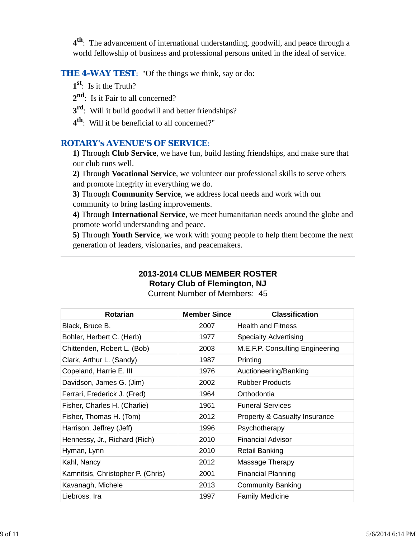**4th**: The advancement of international understanding, goodwill, and peace through a world fellowship of business and professional persons united in the ideal of service.

#### **THE 4-WAY TEST:** "Of the things we think, say or do:

- **1st**: Is it the Truth?
- 2<sup>nd</sup>: Is it Fair to all concerned?
- **3<sup>rd</sup>:** Will it build goodwill and better friendships?
- **4th**: Will it be beneficial to all concerned?"

## *ROTARY's AVENUE'S OF SERVICE*:

**1)** Through **Club Service**, we have fun, build lasting friendships, and make sure that our club runs well.

**2)** Through **Vocational Service**, we volunteer our professional skills to serve others and promote integrity in everything we do.

**3)** Through **Community Service**, we address local needs and work with our community to bring lasting improvements.

**4)** Through **International Service**, we meet humanitarian needs around the globe and promote world understanding and peace.

**5)** Through **Youth Service**, we work with young people to help them become the next generation of leaders, visionaries, and peacemakers.

## **2013-2014 CLUB MEMBER ROSTER Rotary Club of Flemington, NJ**

| <b>Rotarian</b>                   | <b>Member Since</b> | <b>Classification</b>           |
|-----------------------------------|---------------------|---------------------------------|
| Black, Bruce B.                   | 2007                | <b>Health and Fitness</b>       |
| Bohler, Herbert C. (Herb)         | 1977                | <b>Specialty Advertising</b>    |
| Chittenden, Robert L. (Bob)       | 2003                | M.E.F.P. Consulting Engineering |
| Clark, Arthur L. (Sandy)          | 1987                | Printing                        |
| Copeland, Harrie E. III           | 1976                | Auctioneering/Banking           |
| Davidson, James G. (Jim)          | 2002                | <b>Rubber Products</b>          |
| Ferrari, Frederick J. (Fred)      | 1964                | Orthodontia                     |
| Fisher, Charles H. (Charlie)      | 1961                | <b>Funeral Services</b>         |
| Fisher, Thomas H. (Tom)           | 2012                | Property & Casualty Insurance   |
| Harrison, Jeffrey (Jeff)          | 1996                | Psychotherapy                   |
| Hennessy, Jr., Richard (Rich)     | 2010                | <b>Financial Advisor</b>        |
| Hyman, Lynn                       | 2010                | <b>Retail Banking</b>           |
| Kahl, Nancy                       | 2012                | Massage Therapy                 |
| Kamnitsis, Christopher P. (Chris) | 2001                | <b>Financial Planning</b>       |
| Kavanagh, Michele                 | 2013                | <b>Community Banking</b>        |
| Liebross, Ira                     | 1997                | <b>Family Medicine</b>          |
|                                   |                     |                                 |

Current Number of Members: 45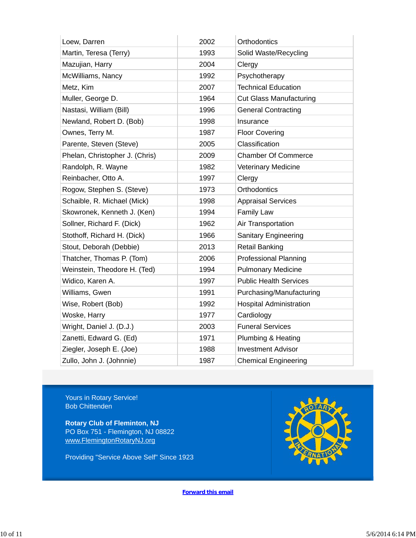| Loew, Darren                   | 2002 | Orthodontics                   |
|--------------------------------|------|--------------------------------|
| Martin, Teresa (Terry)         | 1993 | Solid Waste/Recycling          |
| Mazujian, Harry                | 2004 | Clergy                         |
| McWilliams, Nancy              | 1992 | Psychotherapy                  |
| Metz, Kim                      | 2007 | <b>Technical Education</b>     |
| Muller, George D.              | 1964 | <b>Cut Glass Manufacturing</b> |
| Nastasi, William (Bill)        | 1996 | <b>General Contracting</b>     |
| Newland, Robert D. (Bob)       | 1998 | Insurance                      |
| Ownes, Terry M.                | 1987 | <b>Floor Covering</b>          |
| Parente, Steven (Steve)        | 2005 | Classification                 |
| Phelan, Christopher J. (Chris) | 2009 | <b>Chamber Of Commerce</b>     |
| Randolph, R. Wayne             | 1982 | Veterinary Medicine            |
| Reinbacher, Otto A.            | 1997 | Clergy                         |
| Rogow, Stephen S. (Steve)      | 1973 | Orthodontics                   |
| Schaible, R. Michael (Mick)    | 1998 | <b>Appraisal Services</b>      |
| Skowronek, Kenneth J. (Ken)    | 1994 | <b>Family Law</b>              |
| Sollner, Richard F. (Dick)     | 1962 | Air Transportation             |
| Stothoff, Richard H. (Dick)    | 1966 | <b>Sanitary Engineering</b>    |
| Stout, Deborah (Debbie)        | 2013 | <b>Retail Banking</b>          |
| Thatcher, Thomas P. (Tom)      | 2006 | <b>Professional Planning</b>   |
| Weinstein, Theodore H. (Ted)   | 1994 | <b>Pulmonary Medicine</b>      |
| Widico, Karen A.               | 1997 | <b>Public Health Services</b>  |
| Williams, Gwen                 | 1991 | Purchasing/Manufacturing       |
| Wise, Robert (Bob)             | 1992 | <b>Hospital Administration</b> |
| Woske, Harry                   | 1977 | Cardiology                     |
| Wright, Daniel J. (D.J.)       | 2003 | <b>Funeral Services</b>        |
| Zanetti, Edward G. (Ed)        | 1971 | Plumbing & Heating             |
| Ziegler, Joseph E. (Joe)       | 1988 | Investment Advisor             |
| Zullo, John J. (Johnnie)       | 1987 | <b>Chemical Engineering</b>    |

Yours in Rotary Service! Bob Chittenden

**Rotary Club of Fleminton, NJ** PO Box 751 - Flemington, NJ 08822 www.FlemingtonRotaryNJ.org

Providing "Service Above Self" Since 1923



**Forward this email**